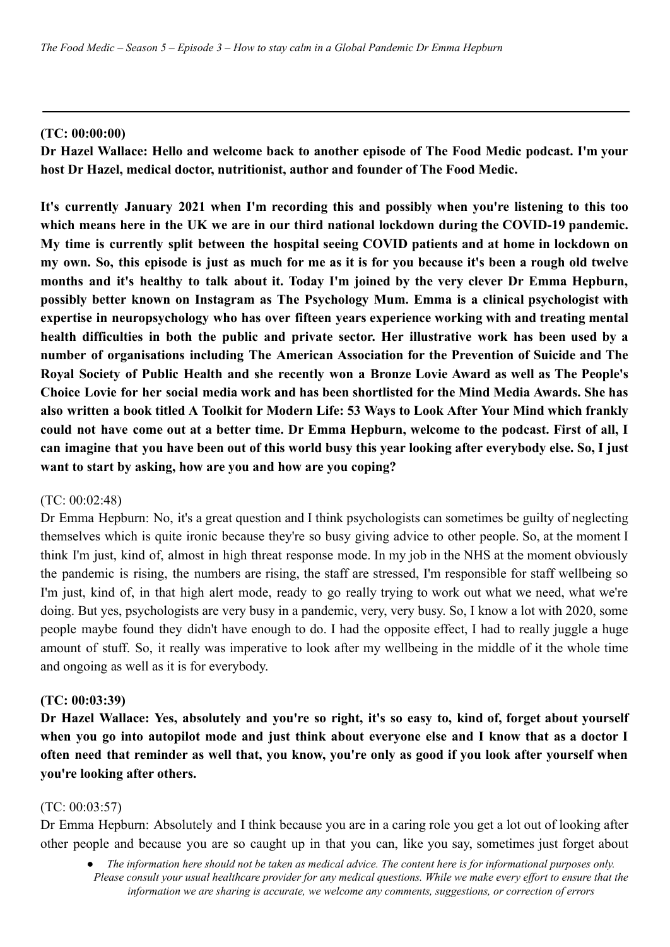### **(TC: 00:00:00)**

**Dr Hazel Wallace: Hello and welcome back to another episode of The Food Medic podcast. I'm your host Dr Hazel, medical doctor, nutritionist, author and founder of The Food Medic.**

**It's currently January 2021 when I'm recording this and possibly when you're listening to this too which means here in the UK we are in our third national lockdown during the COVID-19 pandemic. My time is currently split between the hospital seeing COVID patients and at home in lockdown on** my own. So, this episode is just as much for me as it is for you because it's been a rough old twelve **months and it's healthy to talk about it. Today I'm joined by the very clever Dr Emma Hepburn, possibly better known on Instagram as The Psychology Mum. Emma is a clinical psychologist with expertise in neuropsychology who has over fifteen years experience working with and treating mental health difficulties in both the public and private sector. Her illustrative work has been used by a number of organisations including The American Association for the Prevention of Suicide and The Royal Society of Public Health and she recently won a Bronze Lovie Award as well as The People's Choice Lovie for her social media work and has been shortlisted for the Mind Media Awards. She has** also written a book titled A Toolkit for Modern Life: 53 Ways to Look After Your Mind which frankly could not have come out at a better time. Dr Emma Hepburn, welcome to the podcast. First of all, I can imagine that you have been out of this world busy this year looking after everybody else. So, I just **want to start by asking, how are you and how are you coping?**

### (TC: 00:02:48)

Dr Emma Hepburn: No, it's a great question and I think psychologists can sometimes be guilty of neglecting themselves which is quite ironic because they're so busy giving advice to other people. So, at the moment I think I'm just, kind of, almost in high threat response mode. In my job in the NHS at the moment obviously the pandemic is rising, the numbers are rising, the staff are stressed, I'm responsible for staff wellbeing so I'm just, kind of, in that high alert mode, ready to go really trying to work out what we need, what we're doing. But yes, psychologists are very busy in a pandemic, very, very busy. So, I know a lot with 2020, some people maybe found they didn't have enough to do. I had the opposite effect, I had to really juggle a huge amount of stuff. So, it really was imperative to look after my wellbeing in the middle of it the whole time and ongoing as well as it is for everybody.

## **(TC: 00:03:39)**

Dr Hazel Wallace: Yes, absolutely and you're so right, it's so easy to, kind of, forget about yourself when you go into autopilot mode and just think about everyone else and I know that as a doctor I often need that reminder as well that, you know, you're only as good if you look after yourself when **you're looking after others.**

### (TC: 00:03:57)

Dr Emma Hepburn: Absolutely and I think because you are in a caring role you get a lot out of looking after other people and because you are so caught up in that you can, like you say, sometimes just forget about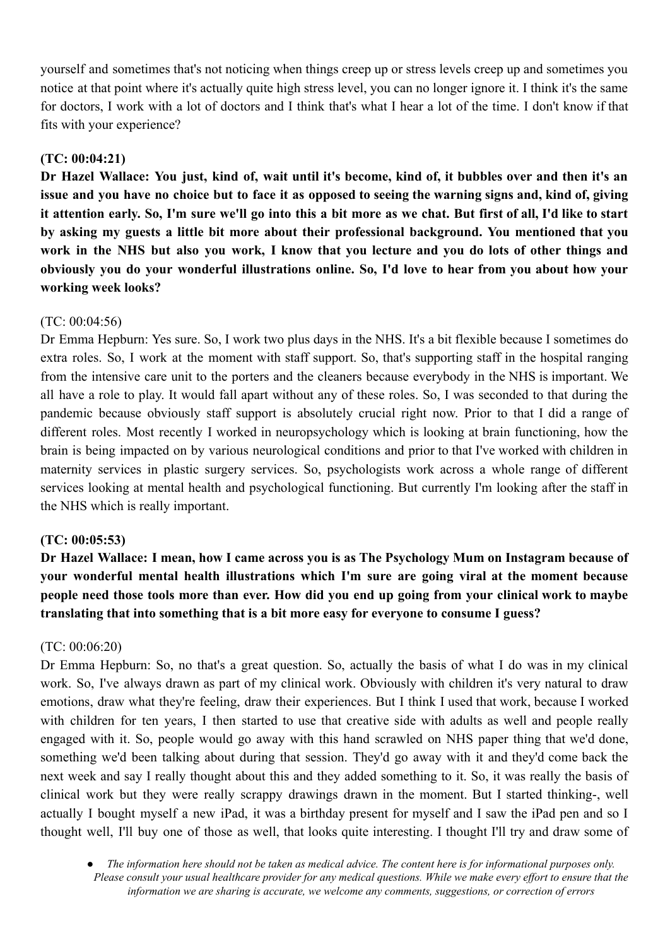yourself and sometimes that's not noticing when things creep up or stress levels creep up and sometimes you notice at that point where it's actually quite high stress level, you can no longer ignore it. I think it's the same for doctors, I work with a lot of doctors and I think that's what I hear a lot of the time. I don't know if that fits with your experience?

## **(TC: 00:04:21)**

Dr Hazel Wallace: You just, kind of, wait until it's become, kind of, it bubbles over and then it's an issue and you have no choice but to face it as opposed to seeing the warning signs and, kind of, giving it attention early. So, I'm sure we'll go into this a bit more as we chat. But first of all, I'd like to start **by asking my guests a little bit more about their professional background. You mentioned that you** work in the NHS but also you work, I know that you lecture and you do lots of other things and **obviously you do your wonderful illustrations online. So, I'd love to hear from you about how your working week looks?**

### (TC: 00:04:56)

Dr Emma Hepburn: Yes sure. So, I work two plus days in the NHS. It's a bit flexible because I sometimes do extra roles. So, I work at the moment with staff support. So, that's supporting staff in the hospital ranging from the intensive care unit to the porters and the cleaners because everybody in the NHS is important. We all have a role to play. It would fall apart without any of these roles. So, I was seconded to that during the pandemic because obviously staff support is absolutely crucial right now. Prior to that I did a range of different roles. Most recently I worked in neuropsychology which is looking at brain functioning, how the brain is being impacted on by various neurological conditions and prior to that I've worked with children in maternity services in plastic surgery services. So, psychologists work across a whole range of different services looking at mental health and psychological functioning. But currently I'm looking after the staff in the NHS which is really important.

### **(TC: 00:05:53)**

Dr Hazel Wallace: I mean, how I came across you is as The Psychology Mum on Instagram because of **your wonderful mental health illustrations which I'm sure are going viral at the moment because** people need those tools more than ever. How did you end up going from your clinical work to maybe **translating that into something that is a bit more easy for everyone to consume I guess?**

## (TC: 00:06:20)

Dr Emma Hepburn: So, no that's a great question. So, actually the basis of what I do was in my clinical work. So, I've always drawn as part of my clinical work. Obviously with children it's very natural to draw emotions, draw what they're feeling, draw their experiences. But I think I used that work, because I worked with children for ten years, I then started to use that creative side with adults as well and people really engaged with it. So, people would go away with this hand scrawled on NHS paper thing that we'd done, something we'd been talking about during that session. They'd go away with it and they'd come back the next week and say I really thought about this and they added something to it. So, it was really the basis of clinical work but they were really scrappy drawings drawn in the moment. But I started thinking-, well actually I bought myself a new iPad, it was a birthday present for myself and I saw the iPad pen and so I thought well, I'll buy one of those as well, that looks quite interesting. I thought I'll try and draw some of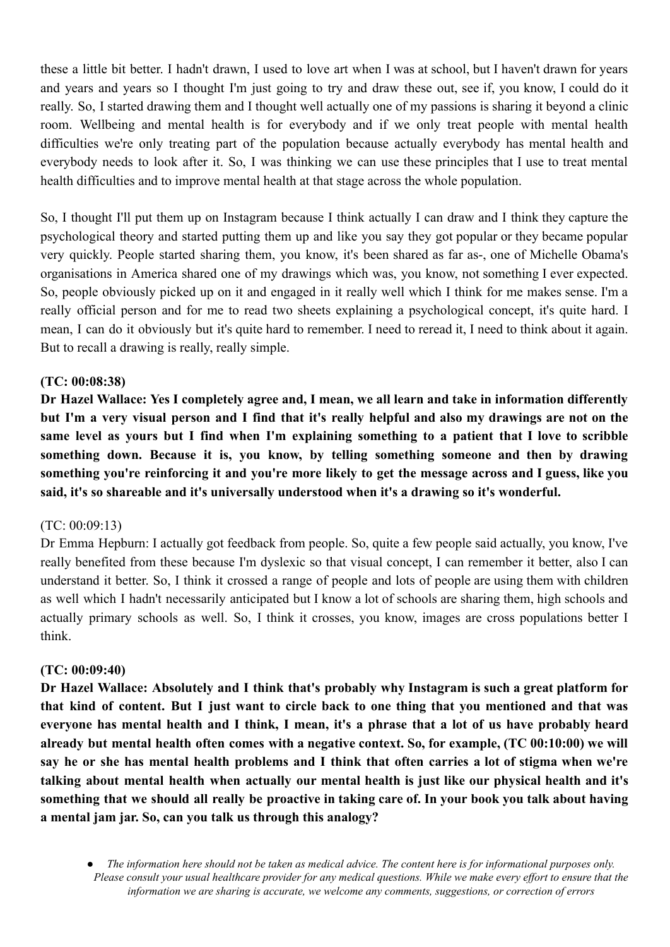these a little bit better. I hadn't drawn, I used to love art when I was at school, but I haven't drawn for years and years and years so I thought I'm just going to try and draw these out, see if, you know, I could do it really. So, I started drawing them and I thought well actually one of my passions is sharing it beyond a clinic room. Wellbeing and mental health is for everybody and if we only treat people with mental health difficulties we're only treating part of the population because actually everybody has mental health and everybody needs to look after it. So, I was thinking we can use these principles that I use to treat mental health difficulties and to improve mental health at that stage across the whole population.

So, I thought I'll put them up on Instagram because I think actually I can draw and I think they capture the psychological theory and started putting them up and like you say they got popular or they became popular very quickly. People started sharing them, you know, it's been shared as far as-, one of Michelle Obama's organisations in America shared one of my drawings which was, you know, not something I ever expected. So, people obviously picked up on it and engaged in it really well which I think for me makes sense. I'm a really official person and for me to read two sheets explaining a psychological concept, it's quite hard. I mean, I can do it obviously but it's quite hard to remember. I need to reread it, I need to think about it again. But to recall a drawing is really, really simple.

## **(TC: 00:08:38)**

Dr Hazel Wallace: Yes I completely agree and, I mean, we all learn and take in information differently but I'm a very visual person and I find that it's really helpful and also my drawings are not on the same level as yours but I find when I'm explaining something to a patient that I love to scribble **something down. Because it is, you know, by telling something someone and then by drawing** something you're reinforcing it and you're more likely to get the message across and I guess, like you **said, it's so shareable and it's universally understood when it's a drawing so it's wonderful.**

### (TC: 00:09:13)

Dr Emma Hepburn: I actually got feedback from people. So, quite a few people said actually, you know, I've really benefited from these because I'm dyslexic so that visual concept, I can remember it better, also I can understand it better. So, I think it crossed a range of people and lots of people are using them with children as well which I hadn't necessarily anticipated but I know a lot of schools are sharing them, high schools and actually primary schools as well. So, I think it crosses, you know, images are cross populations better I think.

### **(TC: 00:09:40)**

**Dr Hazel Wallace: Absolutely and I think that's probably why Instagram is such a great platform for** that kind of content. But I just want to circle back to one thing that you mentioned and that was everyone has mental health and I think, I mean, it's a phrase that a lot of us have probably heard **already but mental health often comes with a negative context. So, for example, (TC 00:10:00) we will** say he or she has mental health problems and I think that often carries a lot of stigma when we're **talking about mental health when actually our mental health is just like our physical health and it's** something that we should all really be proactive in taking care of. In your book you talk about having **a mental jam jar. So, can you talk us through this analogy?**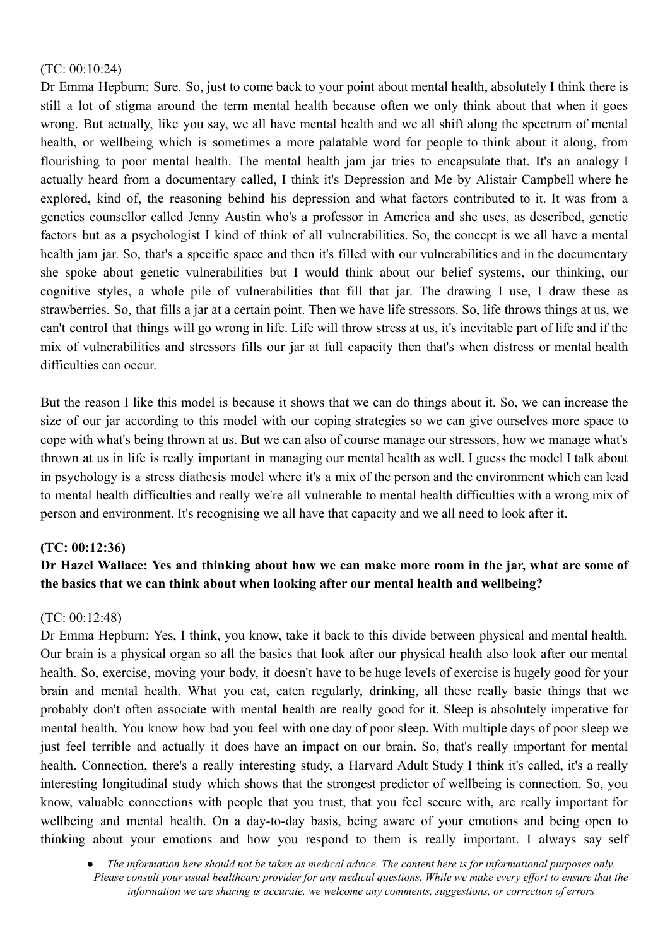## (TC: 00:10:24)

Dr Emma Hepburn: Sure. So, just to come back to your point about mental health, absolutely I think there is still a lot of stigma around the term mental health because often we only think about that when it goes wrong. But actually, like you say, we all have mental health and we all shift along the spectrum of mental health, or wellbeing which is sometimes a more palatable word for people to think about it along, from flourishing to poor mental health. The mental health jam jar tries to encapsulate that. It's an analogy I actually heard from a documentary called, I think it's Depression and Me by Alistair Campbell where he explored, kind of, the reasoning behind his depression and what factors contributed to it. It was from a genetics counsellor called Jenny Austin who's a professor in America and she uses, as described, genetic factors but as a psychologist I kind of think of all vulnerabilities. So, the concept is we all have a mental health jam jar. So, that's a specific space and then it's filled with our vulnerabilities and in the documentary she spoke about genetic vulnerabilities but I would think about our belief systems, our thinking, our cognitive styles, a whole pile of vulnerabilities that fill that jar. The drawing I use, I draw these as strawberries. So, that fills a jar at a certain point. Then we have life stressors. So, life throws things at us, we can't control that things will go wrong in life. Life will throw stress at us, it's inevitable part of life and if the mix of vulnerabilities and stressors fills our jar at full capacity then that's when distress or mental health difficulties can occur.

But the reason I like this model is because it shows that we can do things about it. So, we can increase the size of our jar according to this model with our coping strategies so we can give ourselves more space to cope with what's being thrown at us. But we can also of course manage our stressors, how we manage what's thrown at us in life is really important in managing our mental health as well. I guess the model I talk about in psychology is a stress diathesis model where it's a mix of the person and the environment which can lead to mental health difficulties and really we're all vulnerable to mental health difficulties with a wrong mix of person and environment. It's recognising we all have that capacity and we all need to look after it.

## **(TC: 00:12:36)**

# Dr Hazel Wallace: Yes and thinking about how we can make more room in the jar, what are some of **the basics that we can think about when looking after our mental health and wellbeing?**

### (TC: 00:12:48)

Dr Emma Hepburn: Yes, I think, you know, take it back to this divide between physical and mental health. Our brain is a physical organ so all the basics that look after our physical health also look after our mental health. So, exercise, moving your body, it doesn't have to be huge levels of exercise is hugely good for your brain and mental health. What you eat, eaten regularly, drinking, all these really basic things that we probably don't often associate with mental health are really good for it. Sleep is absolutely imperative for mental health. You know how bad you feel with one day of poor sleep. With multiple days of poor sleep we just feel terrible and actually it does have an impact on our brain. So, that's really important for mental health. Connection, there's a really interesting study, a Harvard Adult Study I think it's called, it's a really interesting longitudinal study which shows that the strongest predictor of wellbeing is connection. So, you know, valuable connections with people that you trust, that you feel secure with, are really important for wellbeing and mental health. On a day-to-day basis, being aware of your emotions and being open to thinking about your emotions and how you respond to them is really important. I always say self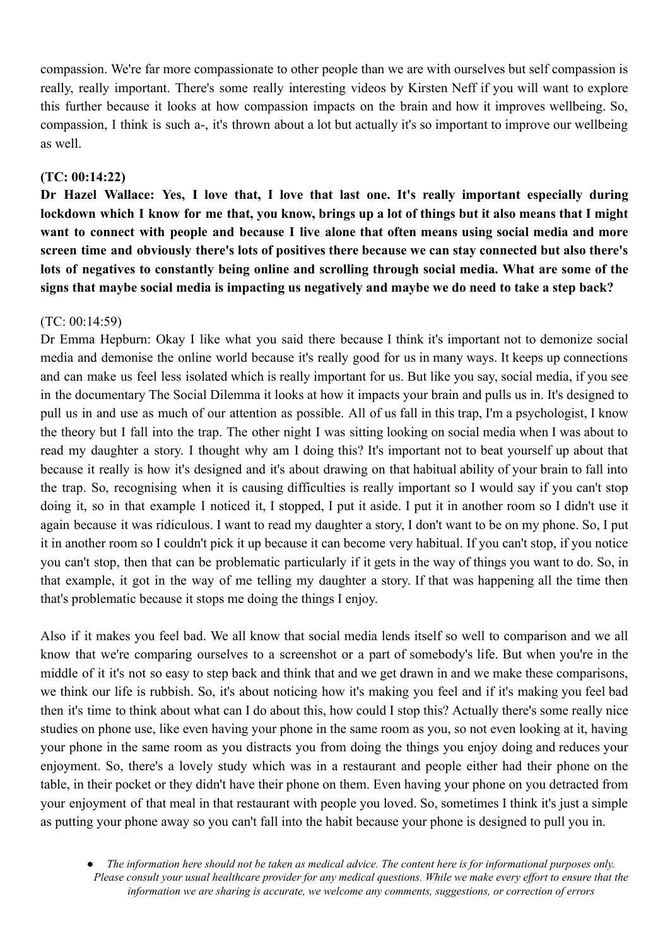compassion. We're far more compassionate to other people than we are with ourselves but self compassion is really, really important. There's some really interesting videos by Kirsten Neff if you will want to explore this further because it looks at how compassion impacts on the brain and how it improves wellbeing. So, compassion, I think is such a-, it's thrown about a lot but actually it's so important to improve our wellbeing as well.

## **(TC: 00:14:22)**

**Dr Hazel Wallace: Yes, I love that, I love that last one. It's really important especially during** lockdown which I know for me that, you know, brings up a lot of things but it also means that I might **want to connect with people and because I live alone that often means using social media and more screen time and obviously there's lots of positives there because we can stay connected but also there's lots of negatives to constantly being online and scrolling through social media. What are some of the signs that maybe social media is impacting us negatively and maybe we do need to take a step back?**

## (TC: 00:14:59)

Dr Emma Hepburn: Okay I like what you said there because I think it's important not to demonize social media and demonise the online world because it's really good for us in many ways. It keeps up connections and can make us feel less isolated which is really important for us. But like you say, social media, if you see in the documentary The Social Dilemma it looks at how it impacts your brain and pulls us in. It's designed to pull us in and use as much of our attention as possible. All of us fall in this trap, I'm a psychologist, I know the theory but I fall into the trap. The other night I was sitting looking on social media when I was about to read my daughter a story. I thought why am I doing this? It's important not to beat yourself up about that because it really is how it's designed and it's about drawing on that habitual ability of your brain to fall into the trap. So, recognising when it is causing difficulties is really important so I would say if you can't stop doing it, so in that example I noticed it, I stopped, I put it aside. I put it in another room so I didn't use it again because it was ridiculous. I want to read my daughter a story, I don't want to be on my phone. So, I put it in another room so I couldn't pick it up because it can become very habitual. If you can't stop, if you notice you can't stop, then that can be problematic particularly if it gets in the way of things you want to do. So, in that example, it got in the way of me telling my daughter a story. If that was happening all the time then that's problematic because it stops me doing the things I enjoy.

Also if it makes you feel bad. We all know that social media lends itself so well to comparison and we all know that we're comparing ourselves to a screenshot or a part of somebody's life. But when you're in the middle of it it's not so easy to step back and think that and we get drawn in and we make these comparisons, we think our life is rubbish. So, it's about noticing how it's making you feel and if it's making you feel bad then it's time to think about what can I do about this, how could I stop this? Actually there's some really nice studies on phone use, like even having your phone in the same room as you, so not even looking at it, having your phone in the same room as you distracts you from doing the things you enjoy doing and reduces your enjoyment. So, there's a lovely study which was in a restaurant and people either had their phone on the table, in their pocket or they didn't have their phone on them. Even having your phone on you detracted from your enjoyment of that meal in that restaurant with people you loved. So, sometimes I think it's just a simple as putting your phone away so you can't fall into the habit because your phone is designed to pull you in.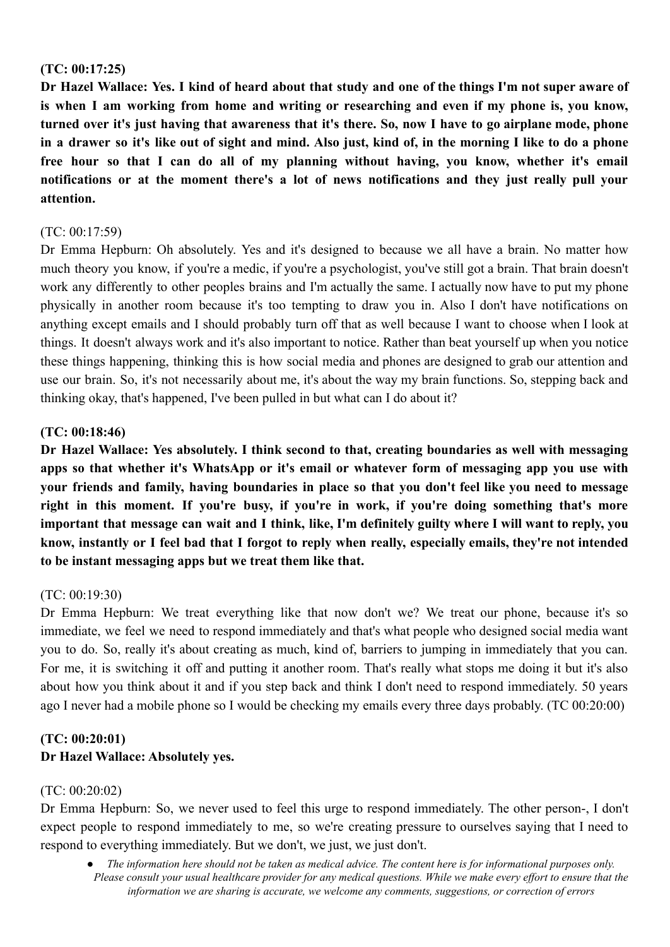## **(TC: 00:17:25)**

Dr Hazel Wallace: Yes. I kind of heard about that study and one of the things I'm not super aware of is when I am working from home and writing or researching and even if my phone is, you know, turned over it's just having that awareness that it's there. So, now I have to go airplane mode, phone in a drawer so it's like out of sight and mind. Also just, kind of, in the morning I like to do a phone **free hour so that I can do all of my planning without having, you know, whether it's email notifications or at the moment there's a lot of news notifications and they just really pull your attention.**

## (TC: 00:17:59)

Dr Emma Hepburn: Oh absolutely. Yes and it's designed to because we all have a brain. No matter how much theory you know, if you're a medic, if you're a psychologist, you've still got a brain. That brain doesn't work any differently to other peoples brains and I'm actually the same. I actually now have to put my phone physically in another room because it's too tempting to draw you in. Also I don't have notifications on anything except emails and I should probably turn off that as well because I want to choose when I look at things. It doesn't always work and it's also important to notice. Rather than beat yourself up when you notice these things happening, thinking this is how social media and phones are designed to grab our attention and use our brain. So, it's not necessarily about me, it's about the way my brain functions. So, stepping back and thinking okay, that's happened, I've been pulled in but what can I do about it?

### **(TC: 00:18:46)**

**Dr Hazel Wallace: Yes absolutely. I think second to that, creating boundaries as well with messaging apps so that whether it's WhatsApp or it's email or whatever form of messaging app you use with** your friends and family, having boundaries in place so that you don't feel like you need to message **right in this moment. If you're busy, if you're in work, if you're doing something that's more** important that message can wait and I think, like, I'm definitely guilty where I will want to reply, you know, instantly or I feel bad that I forgot to reply when really, especially emails, they're not intended **to be instant messaging apps but we treat them like that.**

### (TC: 00:19:30)

Dr Emma Hepburn: We treat everything like that now don't we? We treat our phone, because it's so immediate, we feel we need to respond immediately and that's what people who designed social media want you to do. So, really it's about creating as much, kind of, barriers to jumping in immediately that you can. For me, it is switching it off and putting it another room. That's really what stops me doing it but it's also about how you think about it and if you step back and think I don't need to respond immediately. 50 years ago I never had a mobile phone so I would be checking my emails every three days probably. (TC 00:20:00)

# **(TC: 00:20:01) Dr Hazel Wallace: Absolutely yes.**

### (TC: 00:20:02)

Dr Emma Hepburn: So, we never used to feel this urge to respond immediately. The other person-, I don't expect people to respond immediately to me, so we're creating pressure to ourselves saying that I need to respond to everything immediately. But we don't, we just, we just don't.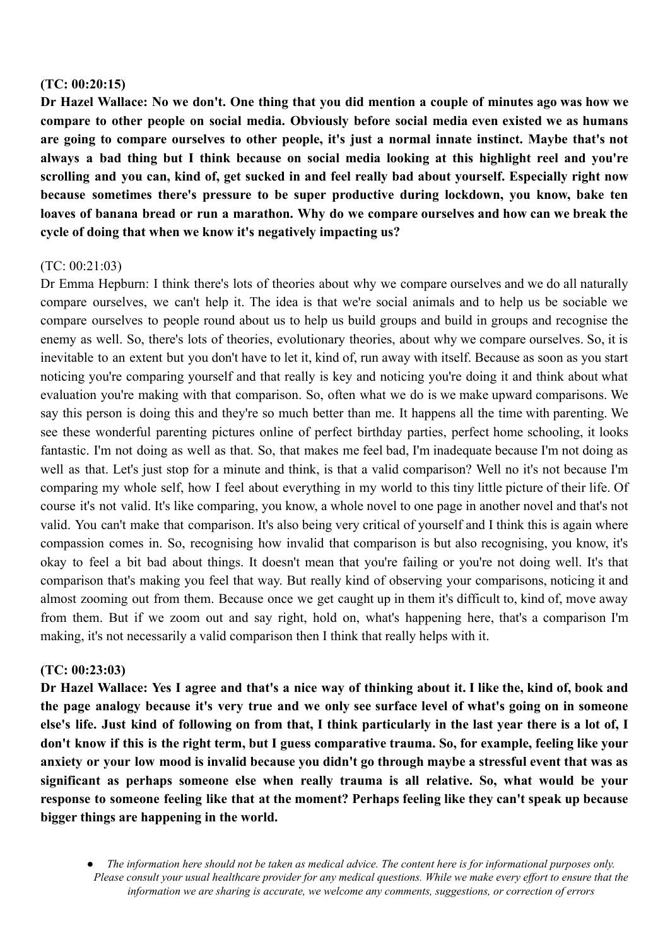#### **(TC: 00:20:15)**

Dr Hazel Wallace: No we don't. One thing that you did mention a couple of minutes ago was how we **compare to other people on social media. Obviously before social media even existed we as humans are going to compare ourselves to other people, it's just a normal innate instinct. Maybe that's not always a bad thing but I think because on social media looking at this highlight reel and you're** scrolling and you can, kind of, get sucked in and feel really bad about yourself. Especially right now **because sometimes there's pressure to be super productive during lockdown, you know, bake ten** loaves of banana bread or run a marathon. Why do we compare ourselves and how can we break the **cycle of doing that when we know it's negatively impacting us?**

### $(TC: 00.21.03)$

Dr Emma Hepburn: I think there's lots of theories about why we compare ourselves and we do all naturally compare ourselves, we can't help it. The idea is that we're social animals and to help us be sociable we compare ourselves to people round about us to help us build groups and build in groups and recognise the enemy as well. So, there's lots of theories, evolutionary theories, about why we compare ourselves. So, it is inevitable to an extent but you don't have to let it, kind of, run away with itself. Because as soon as you start noticing you're comparing yourself and that really is key and noticing you're doing it and think about what evaluation you're making with that comparison. So, often what we do is we make upward comparisons. We say this person is doing this and they're so much better than me. It happens all the time with parenting. We see these wonderful parenting pictures online of perfect birthday parties, perfect home schooling, it looks fantastic. I'm not doing as well as that. So, that makes me feel bad, I'm inadequate because I'm not doing as well as that. Let's just stop for a minute and think, is that a valid comparison? Well no it's not because I'm comparing my whole self, how I feel about everything in my world to this tiny little picture of their life. Of course it's not valid. It's like comparing, you know, a whole novel to one page in another novel and that's not valid. You can't make that comparison. It's also being very critical of yourself and I think this is again where compassion comes in. So, recognising how invalid that comparison is but also recognising, you know, it's okay to feel a bit bad about things. It doesn't mean that you're failing or you're not doing well. It's that comparison that's making you feel that way. But really kind of observing your comparisons, noticing it and almost zooming out from them. Because once we get caught up in them it's difficult to, kind of, move away from them. But if we zoom out and say right, hold on, what's happening here, that's a comparison I'm making, it's not necessarily a valid comparison then I think that really helps with it.

### **(TC: 00:23:03)**

Dr Hazel Wallace: Yes I agree and that's a nice way of thinking about it. I like the, kind of, book and the page analogy because it's very true and we only see surface level of what's going on in someone else's life. Just kind of following on from that, I think particularly in the last year there is a lot of, I don't know if this is the right term, but I guess comparative trauma. So, for example, feeling like your anxiety or your low mood is invalid because you didn't go through maybe a stressful event that was as **significant as perhaps someone else when really trauma is all relative. So, what would be your response to someone feeling like that at the moment? Perhaps feeling like they can't speak up because bigger things are happening in the world.**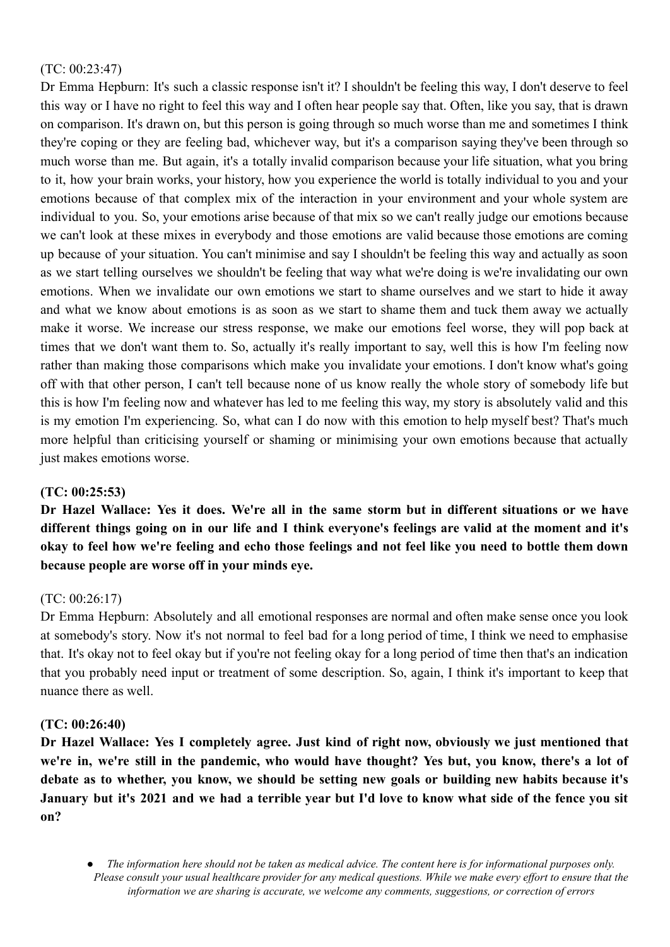# (TC: 00:23:47)

Dr Emma Hepburn: It's such a classic response isn't it? I shouldn't be feeling this way, I don't deserve to feel this way or I have no right to feel this way and I often hear people say that. Often, like you say, that is drawn on comparison. It's drawn on, but this person is going through so much worse than me and sometimes I think they're coping or they are feeling bad, whichever way, but it's a comparison saying they've been through so much worse than me. But again, it's a totally invalid comparison because your life situation, what you bring to it, how your brain works, your history, how you experience the world is totally individual to you and your emotions because of that complex mix of the interaction in your environment and your whole system are individual to you. So, your emotions arise because of that mix so we can't really judge our emotions because we can't look at these mixes in everybody and those emotions are valid because those emotions are coming up because of your situation. You can't minimise and say I shouldn't be feeling this way and actually as soon as we start telling ourselves we shouldn't be feeling that way what we're doing is we're invalidating our own emotions. When we invalidate our own emotions we start to shame ourselves and we start to hide it away and what we know about emotions is as soon as we start to shame them and tuck them away we actually make it worse. We increase our stress response, we make our emotions feel worse, they will pop back at times that we don't want them to. So, actually it's really important to say, well this is how I'm feeling now rather than making those comparisons which make you invalidate your emotions. I don't know what's going off with that other person, I can't tell because none of us know really the whole story of somebody life but this is how I'm feeling now and whatever has led to me feeling this way, my story is absolutely valid and this is my emotion I'm experiencing. So, what can I do now with this emotion to help myself best? That's much more helpful than criticising yourself or shaming or minimising your own emotions because that actually just makes emotions worse.

## **(TC: 00:25:53)**

Dr Hazel Wallace: Yes it does. We're all in the same storm but in different situations or we have different things going on in our life and I think everyone's feelings are valid at the moment and it's okay to feel how we're feeling and echo those feelings and not feel like you need to bottle them down **because people are worse off in your minds eye.**

## (TC: 00:26:17)

Dr Emma Hepburn: Absolutely and all emotional responses are normal and often make sense once you look at somebody's story. Now it's not normal to feel bad for a long period of time, I think we need to emphasise that. It's okay not to feel okay but if you're not feeling okay for a long period of time then that's an indication that you probably need input or treatment of some description. So, again, I think it's important to keep that nuance there as well.

## **(TC: 00:26:40)**

**Dr Hazel Wallace: Yes I completely agree. Just kind of right now, obviously we just mentioned that** we're in, we're still in the pandemic, who would have thought? Yes but, you know, there's a lot of **debate as to whether, you know, we should be setting new goals or building new habits because it's** January but it's 2021 and we had a terrible year but I'd love to know what side of the fence you sit **on?**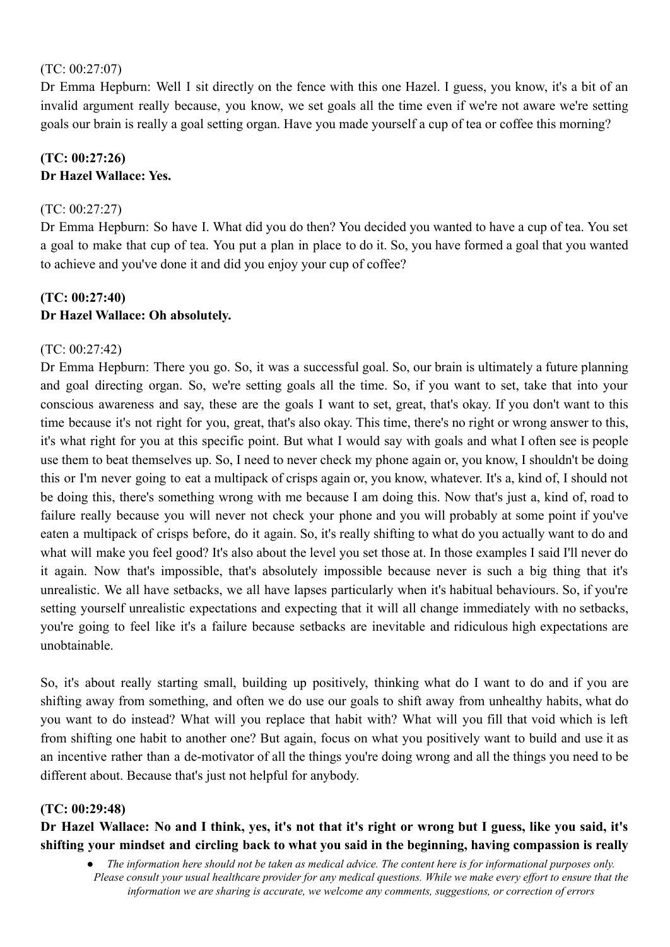## (TC: 00:27:07)

Dr Emma Hepburn: Well I sit directly on the fence with this one Hazel. I guess, you know, it's a bit of an invalid argument really because, you know, we set goals all the time even if we're not aware we're setting goals our brain is really a goal setting organ. Have you made yourself a cup of tea or coffee this morning?

# **(TC: 00:27:26) Dr Hazel Wallace: Yes.**

## (TC: 00:27:27)

Dr Emma Hepburn: So have I. What did you do then? You decided you wanted to have a cup of tea. You set a goal to make that cup of tea. You put a plan in place to do it. So, you have formed a goal that you wanted to achieve and you've done it and did you enjoy your cup of coffee?

# **(TC: 00:27:40) Dr Hazel Wallace: Oh absolutely.**

## (TC: 00:27:42)

Dr Emma Hepburn: There you go. So, it was a successful goal. So, our brain is ultimately a future planning and goal directing organ. So, we're setting goals all the time. So, if you want to set, take that into your conscious awareness and say, these are the goals I want to set, great, that's okay. If you don't want to this time because it's not right for you, great, that's also okay. This time, there's no right or wrong answer to this, it's what right for you at this specific point. But what I would say with goals and what I often see is people use them to beat themselves up. So, I need to never check my phone again or, you know, I shouldn't be doing this or I'm never going to eat a multipack of crisps again or, you know, whatever. It's a, kind of, I should not be doing this, there's something wrong with me because I am doing this. Now that's just a, kind of, road to failure really because you will never not check your phone and you will probably at some point if you've eaten a multipack of crisps before, do it again. So, it's really shifting to what do you actually want to do and what will make you feel good? It's also about the level you set those at. In those examples I said I'll never do it again. Now that's impossible, that's absolutely impossible because never is such a big thing that it's unrealistic. We all have setbacks, we all have lapses particularly when it's habitual behaviours. So, if you're setting yourself unrealistic expectations and expecting that it will all change immediately with no setbacks, you're going to feel like it's a failure because setbacks are inevitable and ridiculous high expectations are unobtainable.

So, it's about really starting small, building up positively, thinking what do I want to do and if you are shifting away from something, and often we do use our goals to shift away from unhealthy habits, what do you want to do instead? What will you replace that habit with? What will you fill that void which is left from shifting one habit to another one? But again, focus on what you positively want to build and use it as an incentive rather than a de-motivator of all the things you're doing wrong and all the things you need to be different about. Because that's just not helpful for anybody.

### **(TC: 00:29:48)**

Dr Hazel Wallace: No and I think, yes, it's not that it's right or wrong but I guess, like you said, it's **shifting your mindset and circling back to what you said in the beginning, having compassion is really**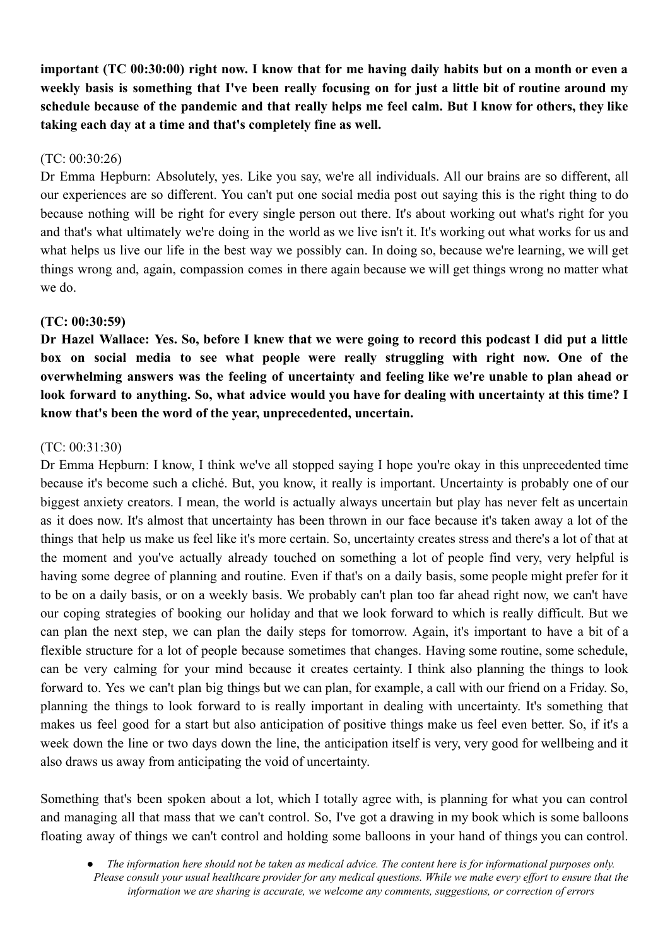important (TC 00:30:00) right now. I know that for me having daily habits but on a month or even a weekly basis is something that I've been really focusing on for just a little bit of routine around my schedule because of the pandemic and that really helps me feel calm. But I know for others, they like **taking each day at a time and that's completely fine as well.**

## (TC: 00:30:26)

Dr Emma Hepburn: Absolutely, yes. Like you say, we're all individuals. All our brains are so different, all our experiences are so different. You can't put one social media post out saying this is the right thing to do because nothing will be right for every single person out there. It's about working out what's right for you and that's what ultimately we're doing in the world as we live isn't it. It's working out what works for us and what helps us live our life in the best way we possibly can. In doing so, because we're learning, we will get things wrong and, again, compassion comes in there again because we will get things wrong no matter what we do.

# **(TC: 00:30:59)**

Dr Hazel Wallace: Yes. So, before I knew that we were going to record this podcast I did put a little **box on social media to see what people were really struggling with right now. One of the overwhelming answers was the feeling of uncertainty and feeling like we're unable to plan ahead or** look forward to anything. So, what advice would you have for dealing with uncertainty at this time? I **know that's been the word of the year, unprecedented, uncertain.**

# (TC: 00:31:30)

Dr Emma Hepburn: I know, I think we've all stopped saying I hope you're okay in this unprecedented time because it's become such a cliché. But, you know, it really is important. Uncertainty is probably one of our biggest anxiety creators. I mean, the world is actually always uncertain but play has never felt as uncertain as it does now. It's almost that uncertainty has been thrown in our face because it's taken away a lot of the things that help us make us feel like it's more certain. So, uncertainty creates stress and there's a lot of that at the moment and you've actually already touched on something a lot of people find very, very helpful is having some degree of planning and routine. Even if that's on a daily basis, some people might prefer for it to be on a daily basis, or on a weekly basis. We probably can't plan too far ahead right now, we can't have our coping strategies of booking our holiday and that we look forward to which is really difficult. But we can plan the next step, we can plan the daily steps for tomorrow. Again, it's important to have a bit of a flexible structure for a lot of people because sometimes that changes. Having some routine, some schedule, can be very calming for your mind because it creates certainty. I think also planning the things to look forward to. Yes we can't plan big things but we can plan, for example, a call with our friend on a Friday. So, planning the things to look forward to is really important in dealing with uncertainty. It's something that makes us feel good for a start but also anticipation of positive things make us feel even better. So, if it's a week down the line or two days down the line, the anticipation itself is very, very good for wellbeing and it also draws us away from anticipating the void of uncertainty.

Something that's been spoken about a lot, which I totally agree with, is planning for what you can control and managing all that mass that we can't control. So, I've got a drawing in my book which is some balloons floating away of things we can't control and holding some balloons in your hand of things you can control.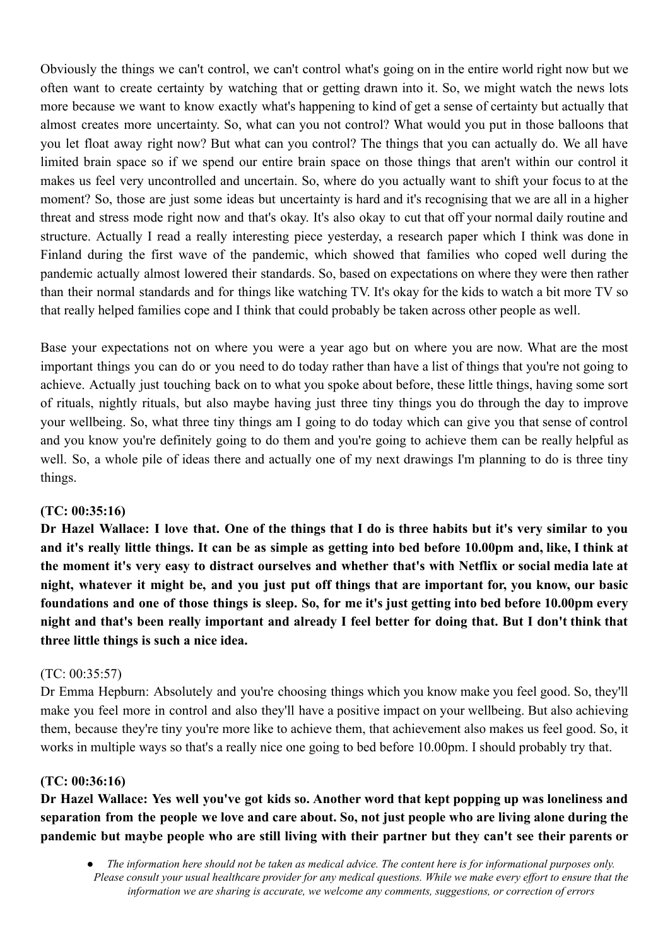Obviously the things we can't control, we can't control what's going on in the entire world right now but we often want to create certainty by watching that or getting drawn into it. So, we might watch the news lots more because we want to know exactly what's happening to kind of get a sense of certainty but actually that almost creates more uncertainty. So, what can you not control? What would you put in those balloons that you let float away right now? But what can you control? The things that you can actually do. We all have limited brain space so if we spend our entire brain space on those things that aren't within our control it makes us feel very uncontrolled and uncertain. So, where do you actually want to shift your focus to at the moment? So, those are just some ideas but uncertainty is hard and it's recognising that we are all in a higher threat and stress mode right now and that's okay. It's also okay to cut that off your normal daily routine and structure. Actually I read a really interesting piece yesterday, a research paper which I think was done in Finland during the first wave of the pandemic, which showed that families who coped well during the pandemic actually almost lowered their standards. So, based on expectations on where they were then rather than their normal standards and for things like watching TV. It's okay for the kids to watch a bit more TV so that really helped families cope and I think that could probably be taken across other people as well.

Base your expectations not on where you were a year ago but on where you are now. What are the most important things you can do or you need to do today rather than have a list of things that you're not going to achieve. Actually just touching back on to what you spoke about before, these little things, having some sort of rituals, nightly rituals, but also maybe having just three tiny things you do through the day to improve your wellbeing. So, what three tiny things am I going to do today which can give you that sense of control and you know you're definitely going to do them and you're going to achieve them can be really helpful as well. So, a whole pile of ideas there and actually one of my next drawings I'm planning to do is three tiny things.

## **(TC: 00:35:16)**

Dr Hazel Wallace: I love that. One of the things that I do is three habits but it's very similar to you and it's really little things. It can be as simple as getting into bed before 10.00pm and, like, I think at the moment it's very easy to distract ourselves and whether that's with Netflix or social media late at night, whatever it might be, and you just put off things that are important for, you know, our basic foundations and one of those things is sleep. So, for me it's just getting into bed before 10.00pm every night and that's been really important and already I feel better for doing that. But I don't think that **three little things is such a nice idea.**

## (TC: 00:35:57)

Dr Emma Hepburn: Absolutely and you're choosing things which you know make you feel good. So, they'll make you feel more in control and also they'll have a positive impact on your wellbeing. But also achieving them, because they're tiny you're more like to achieve them, that achievement also makes us feel good. So, it works in multiple ways so that's a really nice one going to bed before 10.00pm. I should probably try that.

## **(TC: 00:36:16)**

Dr Hazel Wallace: Yes well you've got kids so. Another word that kept popping up was loneliness and separation from the people we love and care about. So, not just people who are living alone during the pandemic but maybe people who are still living with their partner but they can't see their parents or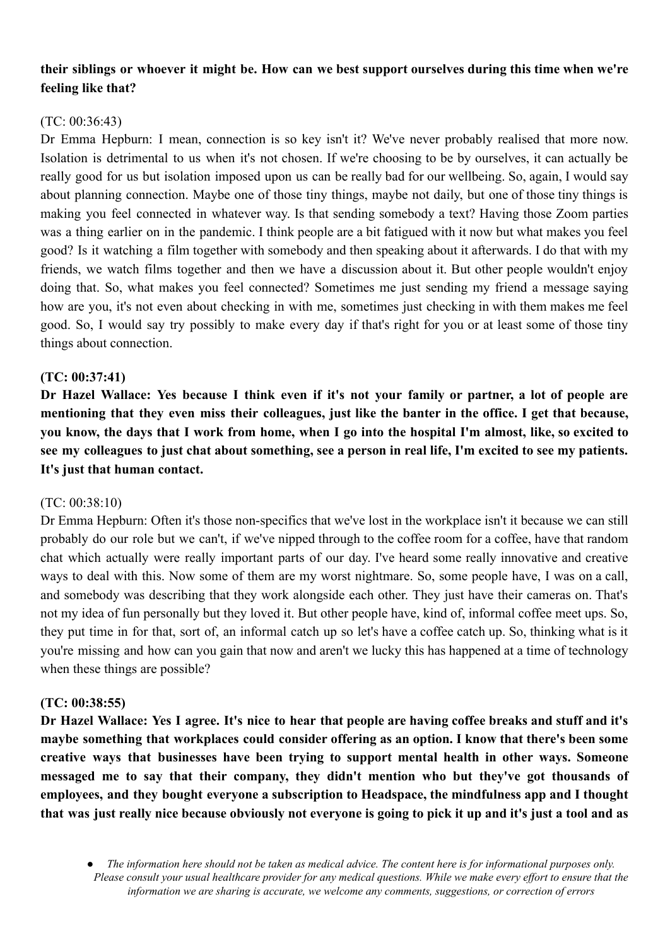# their siblings or whoever it might be. How can we best support ourselves during this time when we're **feeling like that?**

## $(TC: 00.36.43)$

Dr Emma Hepburn: I mean, connection is so key isn't it? We've never probably realised that more now. Isolation is detrimental to us when it's not chosen. If we're choosing to be by ourselves, it can actually be really good for us but isolation imposed upon us can be really bad for our wellbeing. So, again, I would say about planning connection. Maybe one of those tiny things, maybe not daily, but one of those tiny things is making you feel connected in whatever way. Is that sending somebody a text? Having those Zoom parties was a thing earlier on in the pandemic. I think people are a bit fatigued with it now but what makes you feel good? Is it watching a film together with somebody and then speaking about it afterwards. I do that with my friends, we watch films together and then we have a discussion about it. But other people wouldn't enjoy doing that. So, what makes you feel connected? Sometimes me just sending my friend a message saying how are you, it's not even about checking in with me, sometimes just checking in with them makes me feel good. So, I would say try possibly to make every day if that's right for you or at least some of those tiny things about connection.

## **(TC: 00:37:41)**

Dr Hazel Wallace: Yes because I think even if it's not your family or partner, a lot of people are mentioning that they even miss their colleagues, just like the banter in the office. I get that because, you know, the days that I work from home, when I go into the hospital I'm almost, like, so excited to see my colleagues to just chat about something, see a person in real life, I'm excited to see my patients. **It's just that human contact.**

### (TC: 00:38:10)

Dr Emma Hepburn: Often it's those non-specifics that we've lost in the workplace isn't it because we can still probably do our role but we can't, if we've nipped through to the coffee room for a coffee, have that random chat which actually were really important parts of our day. I've heard some really innovative and creative ways to deal with this. Now some of them are my worst nightmare. So, some people have, I was on a call, and somebody was describing that they work alongside each other. They just have their cameras on. That's not my idea of fun personally but they loved it. But other people have, kind of, informal coffee meet ups. So, they put time in for that, sort of, an informal catch up so let's have a coffee catch up. So, thinking what is it you're missing and how can you gain that now and aren't we lucky this has happened at a time of technology when these things are possible?

### **(TC: 00:38:55)**

Dr Hazel Wallace: Yes I agree. It's nice to hear that people are having coffee breaks and stuff and it's **maybe something that workplaces could consider offering as an option. I know that there's been some creative ways that businesses have been trying to support mental health in other ways. Someone messaged me to say that their company, they didn't mention who but they've got thousands of employees, and they bought everyone a subscription to Headspace, the mindfulness app and I thought** that was just really nice because obviously not everyone is going to pick it up and it's just a tool and as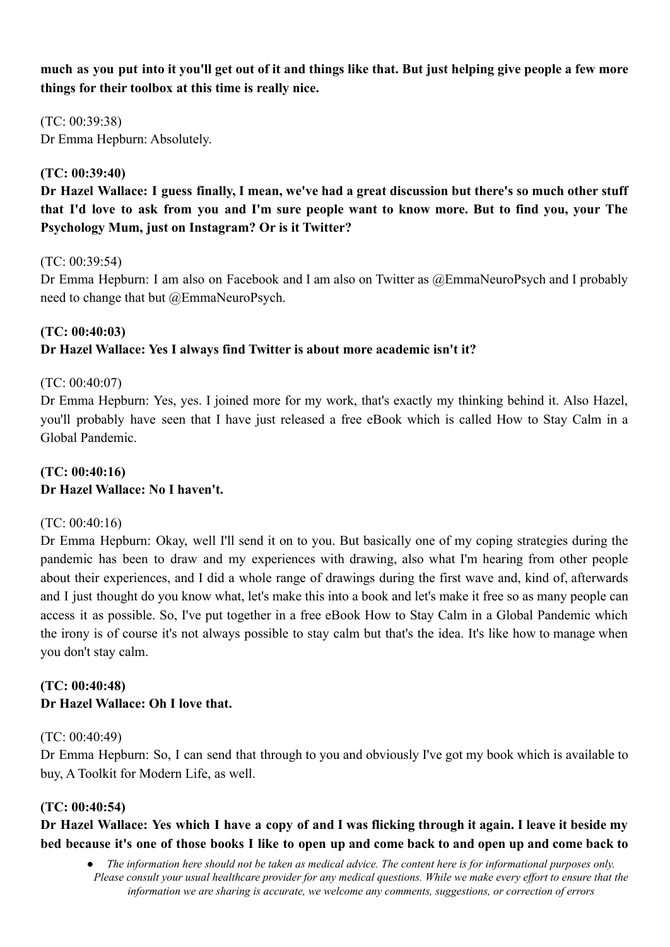much as you put into it you'll get out of it and things like that. But just helping give people a few more **things for their toolbox at this time is really nice.**

(TC: 00:39:38) Dr Emma Hepburn: Absolutely.

## **(TC: 00:39:40)**

Dr Hazel Wallace: I guess finally, I mean, we've had a great discussion but there's so much other stuff that I'd love to ask from you and I'm sure people want to know more. But to find you, your The **Psychology Mum, just on Instagram? Or is it Twitter?**

(TC: 00:39:54)

Dr Emma Hepburn: I am also on Facebook and I am also on Twitter as @EmmaNeuroPsych and I probably need to change that but @EmmaNeuroPsych.

# **(TC: 00:40:03) Dr Hazel Wallace: Yes I always find Twitter is about more academic isn't it?**

# (TC: 00:40:07)

Dr Emma Hepburn: Yes, yes. I joined more for my work, that's exactly my thinking behind it. Also Hazel, you'll probably have seen that I have just released a free eBook which is called How to Stay Calm in a Global Pandemic.

# **(TC: 00:40:16) Dr Hazel Wallace: No I haven't.**

## (TC: 00:40:16)

Dr Emma Hepburn: Okay, well I'll send it on to you. But basically one of my coping strategies during the pandemic has been to draw and my experiences with drawing, also what I'm hearing from other people about their experiences, and I did a whole range of drawings during the first wave and, kind of, afterwards and I just thought do you know what, let's make this into a book and let's make it free so as many people can access it as possible. So, I've put together in a free eBook How to Stay Calm in a Global Pandemic which the irony is of course it's not always possible to stay calm but that's the idea. It's like how to manage when you don't stay calm.

# **(TC: 00:40:48) Dr Hazel Wallace: Oh I love that.**

## (TC: 00:40:49)

Dr Emma Hepburn: So, I can send that through to you and obviously I've got my book which is available to buy, A Toolkit for Modern Life, as well.

# **(TC: 00:40:54)**

# Dr Hazel Wallace: Yes which I have a copy of and I was flicking through it again. I leave it beside my bed because it's one of those books I like to open up and come back to and open up and come back to